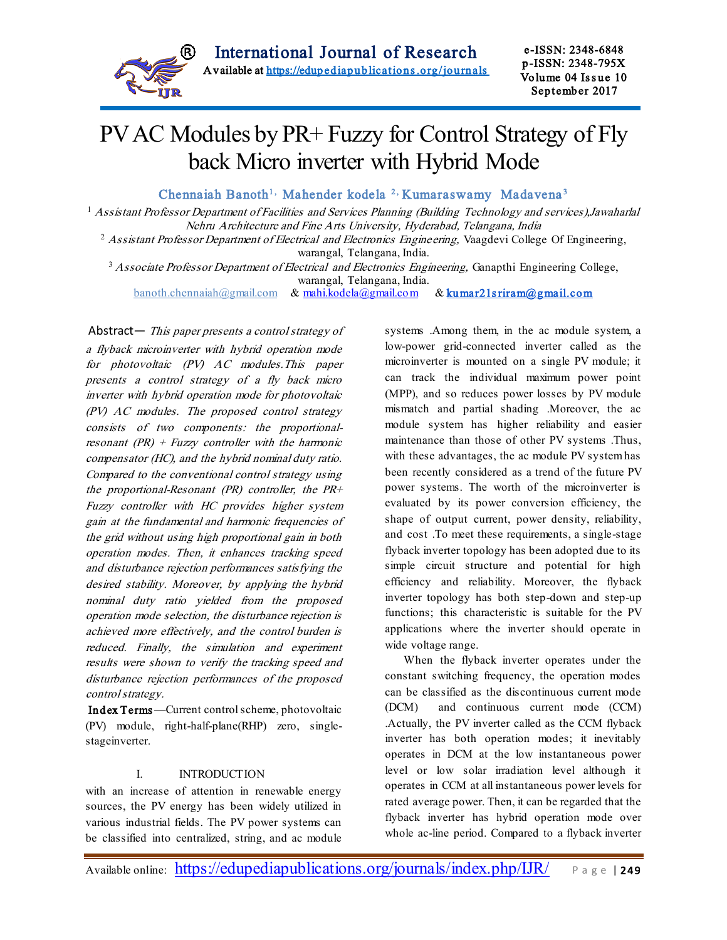

# PV AC Modules by PR+ Fuzzy for Control Strategy of Fly back Micro inverter with Hybrid Mode

Chennaiah Banoth<sup>1,</sup> Mahender kodela <sup>2,</sup> Kumaraswamy Madavena<sup>3</sup>

 $1$  Assistant Professor Department of Facilities and Services Planning (Building Technology and services), Jawaharlal Nehru Architecture and Fine Arts University, Hyderabad, Telangana, India

<sup>2</sup> Assistant Professor Department of Electrical and Electronics Engineering, Vaagdevi College Of Engineering, warangal, Telangana, India.

<sup>3</sup> Associate Professor Department of Electrical and Electronics Engineering, Ganapthi Engineering College, warangal, Telangana, India.

banoth.chennaiah@gmail.com & [mahi.kodela@gmail.com](mailto:mahi.kodela@gmail.com) & [kumar21s riram@gmail.com](mailto:kumar21sriram@gmail.com)

Abstract— This paper presents a control strategy of a flyback microinverter with hybrid operation mode for photovoltaic (PV) AC modules.This paper presents a control strategy of a fly back micro inverter with hybrid operation mode for photovoltaic (PV) AC modules. The proposed control strategy consists of two components: the proportionalresonant  $(PR)$  + Fuzzy controller with the harmonic compensator (HC), and the hybrid nominal duty ratio. Compared to the conventional control strategy using the proportional-Resonant (PR) controller, the PR+ Fuzzy controller with HC provides higher system gain at the fundamental and harmonic frequencies of the grid without using high proportional gain in both operation modes. Then, it enhances tracking speed and disturbance rejection performances satisfying the desired stability. Moreover, by applying the hybrid nominal duty ratio yielded from the proposed operation mode selection, the disturbance rejection is achieved more effectively, and the control burden is reduced. Finally, the simulation and experiment results were shown to verify the tracking speed and disturbance rejection performances of the proposed control strategy.

Index Terms—Current control scheme, photovoltaic (PV) module, right-half-plane(RHP) zero, singlestageinverter.

## I. INTRODUCTION

with an increase of attention in renewable energy sources, the PV energy has been widely utilized in various industrial fields. The PV power systems can be classified into centralized, string, and ac module systems .Among them, in the ac module system, a low-power grid-connected inverter called as the microinverter is mounted on a single PV module; it can track the individual maximum power point (MPP), and so reduces power losses by PV module mismatch and partial shading .Moreover, the ac module system has higher reliability and easier maintenance than those of other PV systems .Thus, with these advantages, the ac module PV system has been recently considered as a trend of the future PV power systems. The worth of the microinverter is evaluated by its power conversion efficiency, the shape of output current, power density, reliability, and cost .To meet these requirements, a single-stage flyback inverter topology has been adopted due to its simple circuit structure and potential for high efficiency and reliability. Moreover, the flyback inverter topology has both step-down and step-up functions; this characteristic is suitable for the PV applications where the inverter should operate in wide voltage range.

 When the flyback inverter operates under the constant switching frequency, the operation modes can be classified as the discontinuous current mode (DCM) and continuous current mode (CCM) .Actually, the PV inverter called as the CCM flyback inverter has both operation modes; it inevitably operates in DCM at the low instantaneous power level or low solar irradiation level although it operates in CCM at all instantaneous power levels for rated average power. Then, it can be regarded that the flyback inverter has hybrid operation mode over whole ac-line period. Compared to a flyback inverter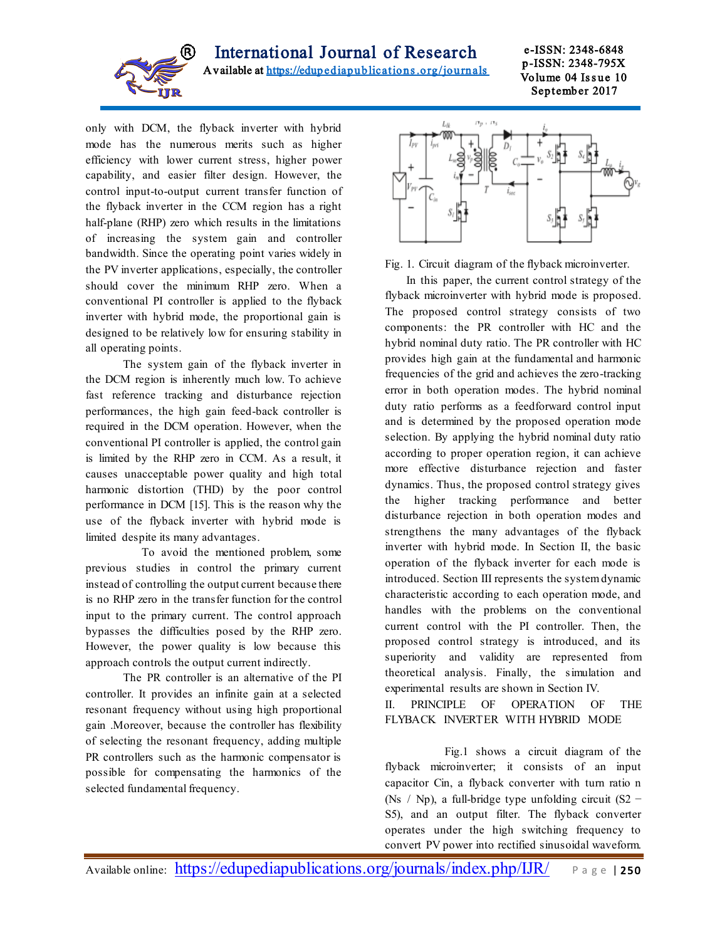

International Journal of Research Available at ht[tps://edupediapublications .org/journa](https://edupediapublications.org/journals)ls

e-ISSN: 2348-6848 p-ISSN: 2348-795X Volume 04 Issue 10 September 2017

only with DCM, the flyback inverter with hybrid mode has the numerous merits such as higher efficiency with lower current stress, higher power capability, and easier filter design. However, the control input-to-output current transfer function of the flyback inverter in the CCM region has a right half-plane (RHP) zero which results in the limitations of increasing the system gain and controller bandwidth. Since the operating point varies widely in the PV inverter applications, especially, the controller should cover the minimum RHP zero. When a conventional PI controller is applied to the flyback inverter with hybrid mode, the proportional gain is designed to be relatively low for ensuring stability in all operating points.

 The system gain of the flyback inverter in the DCM region is inherently much low. To achieve fast reference tracking and disturbance rejection performances, the high gain feed-back controller is required in the DCM operation. However, when the conventional PI controller is applied, the control gain is limited by the RHP zero in CCM. As a result, it causes unacceptable power quality and high total harmonic distortion (THD) by the poor control performance in DCM [15]. This is the reason why the use of the flyback inverter with hybrid mode is limited despite its many advantages.

 To avoid the mentioned problem, some previous studies in control the primary current instead of controlling the output current because there is no RHP zero in the transfer function for the control input to the primary current. The control approach bypasses the difficulties posed by the RHP zero. However, the power quality is low because this approach controls the output current indirectly.

 The PR controller is an alternative of the PI controller. It provides an infinite gain at a selected resonant frequency without using high proportional gain .Moreover, because the controller has flexibility of selecting the resonant frequency, adding multiple PR controllers such as the harmonic compensator is possible for compensating the harmonics of the selected fundamental frequency.



Fig. 1. Circuit diagram of the flyback microinverter.

 In this paper, the current control strategy of the flyback microinverter with hybrid mode is proposed. The proposed control strategy consists of two components: the PR controller with HC and the hybrid nominal duty ratio. The PR controller with HC provides high gain at the fundamental and harmonic frequencies of the grid and achieves the zero-tracking error in both operation modes. The hybrid nominal duty ratio performs as a feedforward control input and is determined by the proposed operation mode selection. By applying the hybrid nominal duty ratio according to proper operation region, it can achieve more effective disturbance rejection and faster dynamics. Thus, the proposed control strategy gives the higher tracking performance and better disturbance rejection in both operation modes and strengthens the many advantages of the flyback inverter with hybrid mode. In Section II, the basic operation of the flyback inverter for each mode is introduced. Section III represents the system dynamic characteristic according to each operation mode, and handles with the problems on the conventional current control with the PI controller. Then, the proposed control strategy is introduced, and its superiority and validity are represented from theoretical analysis. Finally, the simulation and experimental results are shown in Section IV.

II. PRINCIPLE OF OPERATION OF THE FLYBACK INVERTER WITH HYBRID MODE

 Fig.1 shows a circuit diagram of the flyback microinverter; it consists of an input capacitor Cin, a flyback converter with turn ratio n (Ns / Np), a full-bridge type unfolding circuit  $(S2 -$ S5), and an output filter. The flyback converter operates under the high switching frequency to convert PV power into rectified sinusoidal waveform.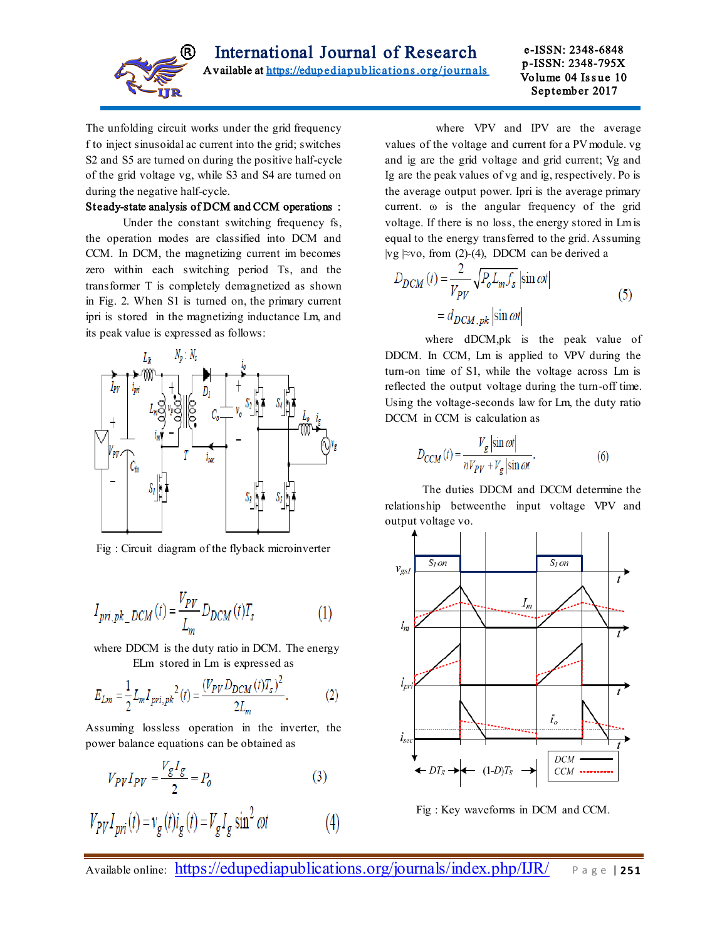

The unfolding circuit works under the grid frequency f to inject sinusoidal ac current into the grid; switches S2 and S5 are turned on during the positive half-cycle of the grid voltage vg, while S3 and S4 are turned on during the negative half-cycle.

#### Steady-state analysis of DCM and CCM operations :

 Under the constant switching frequency fs, the operation modes are classified into DCM and CCM. In DCM, the magnetizing current im becomes zero within each switching period Ts, and the transformer T is completely demagnetized as shown in Fig. 2. When S1 is turned on, the primary current ipri is stored in the magnetizing inductance Lm, and its peak value is expressed as follows:



Fig : Circuit diagram of the flyback microinverter

$$
I_{pri,pk\_DCM}(t) = \frac{V_{PV}}{L_m} D_{DCM}(t) T_s
$$
\n(1)

 where DDCM is the duty ratio in DCM. The energy ELm stored in Lm is expressed as

$$
E_{Lm} = \frac{1}{2} L_m I_{pri, pk}^2(t) = \frac{(V_{PV} D_{DCM} (t) T_s)^2}{2L_m}.
$$
 (2)

Assuming lossless operation in the inverter, the power balance equations can be obtained as

$$
V_{PV}I_{PV} = \frac{V_g I_g}{2} = P_o \tag{3}
$$

$$
V_{P V} I_{p r i}(t) = v_g(t) i_g(t) = V_g I_g \sin^2 \omega t
$$
 (4)

 where VPV and IPV are the average values of the voltage and current for a PV module. vg and ig are the grid voltage and grid current; Vg and Ig are the peak values of vg and ig, respectively. Po is the average output power. Ipri is the average primary current. ω is the angular frequency of the grid voltage. If there is no loss, the energy stored in Lm is equal to the energy transferred to the grid. Assuming |vg |≈vo, from (2)-(4), DDCM can be derived a

$$
D_{DCM}(t) = \frac{2}{V_{PV}} \sqrt{P_o L_m f_s} |\sin \omega t|
$$
  
=  $d_{DCM, pk} |\sin \omega t|$  (5)

 where dDCM,pk is the peak value of DDCM. In CCM, Lm is applied to VPV during the turn-on time of S1, while the voltage across Lm is reflected the output voltage during the turn-off time. Using the voltage-seconds law for Lm, the duty ratio DCCM in CCM is calculation as

$$
D_{CCM}(t) = \frac{V_g \left| \sin \omega t \right|}{nV_{PV} + V_g \left| \sin \omega t \right|}.
$$
 (6)

 The duties DDCM and DCCM determine the relationship betweenthe input voltage VPV and output voltage vo.



Fig : Key waveforms in DCM and CCM.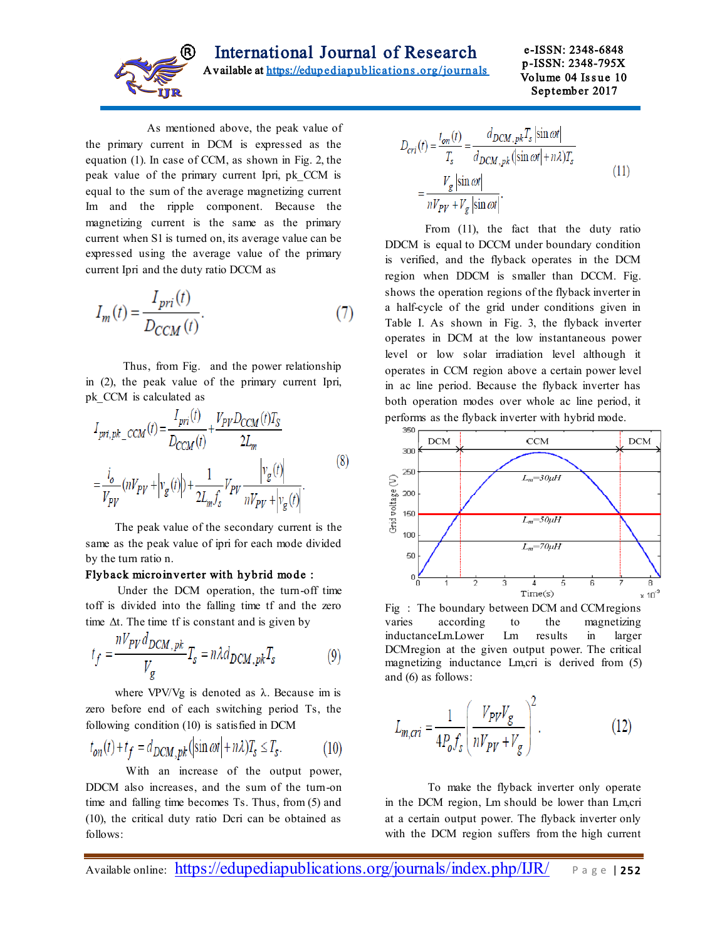

 As mentioned above, the peak value of the primary current in DCM is expressed as the equation (1). In case of CCM, as shown in Fig. 2, the peak value of the primary current Ipri, pk\_CCM is equal to the sum of the average magnetizing current Im and the ripple component. Because the magnetizing current is the same as the primary current when S1 is turned on, its average value can be expressed using the average value of the primary current Ipri and the duty ratio DCCM as

$$
I_m(t) = \frac{I_{pri}(t)}{D_{CCM}(t)}.\t(7)
$$

 Thus, from Fig. and the power relationship in (2), the peak value of the primary current Ipri, pk\_CCM is calculated as

$$
I_{pri,pk\_CCM}(t) = \frac{I_{pri}(t)}{D_{CCM}(t)} + \frac{V_{PV}D_{CCM}(t)T_S}{2L_m}
$$
  
=  $\frac{i_o}{V_{PV}} (nV_{PV} + |v_g(t)|) + \frac{1}{2L_m f_s} V_{PV} \frac{|v_g(t)|}{nV_{PV} + |v_g(t)|}.$  (8)

 The peak value of the secondary current is the same as the peak value of ipri for each mode divided by the turn ratio n.

#### Flyback microinverter with hybrid mode :

 Under the DCM operation, the turn-off time toff is divided into the falling time tf and the zero time  $\Delta t$ . The time tf is constant and is given by

$$
t_f = \frac{nV_{PV}d_{DCM, pk}}{V_g}T_s = n\lambda d_{DCM, pk}T_s \tag{9}
$$

where VPV/Vg is denoted as  $\lambda$ . Because im is zero before end of each switching period Ts, the following condition (10) is satisfied in DCM

$$
t_{on}(t) + t_f = d_{DCM, pk}(|\sin \omega t| + n\lambda)T_s \le T_s.
$$
 (10)

 With an increase of the output power, DDCM also increases, and the sum of the turn-on time and falling time becomes Ts. Thus, from (5) and (10), the critical duty ratio Dcri can be obtained as follows:

$$
D_{cri}(t) = \frac{t_{on}(t)}{T_s} = \frac{d_{DCM, pk} T_s |\sin \omega t|}{d_{DCM, pk} (|\sin \omega t| + n\lambda) T_s}
$$

$$
= \frac{V_g |\sin \omega t|}{nV_{PV} + V_g |\sin \omega t|}. \tag{11}
$$

 From (11), the fact that the duty ratio DDCM is equal to DCCM under boundary condition is verified, and the flyback operates in the DCM region when DDCM is smaller than DCCM. Fig. shows the operation regions of the flyback inverter in a half-cycle of the grid under conditions given in Table I. As shown in Fig. 3, the flyback inverter operates in DCM at the low instantaneous power level or low solar irradiation level although it operates in CCM region above a certain power level in ac line period. Because the flyback inverter has both operation modes over whole ac line period, it performs as the flyback inverter with hybrid mode.



Fig : The boundary between DCM and CCMregions varies according to the magnetizing inductanceLm.Lower Lm results in larger DCMregion at the given output power. The critical magnetizing inductance Lm,cri is derived from (5) and (6) as follows:

$$
L_{m,cri} = \frac{1}{4P_o f_s} \left( \frac{V_{PV} V_g}{nV_{PV} + V_g} \right)^2.
$$
 (12)

 To make the flyback inverter only operate in the DCM region, Lm should be lower than Lm,cri at a certain output power. The flyback inverter only with the DCM region suffers from the high current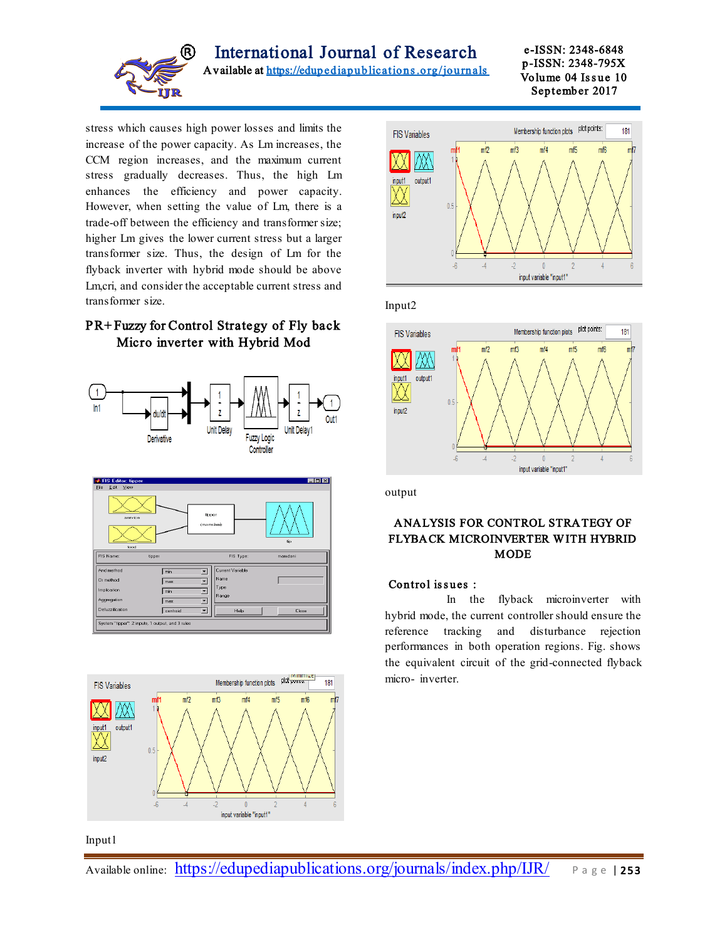

International Journal of Research

Available at ht[tps://edupediapublications .org/journa](https://edupediapublications.org/journals)ls

e-ISSN: 2348-6848 p-ISSN: 2348-795X Volume 04 Issue 10 September 2017

stress which causes high power losses and limits the increase of the power capacity. As Lm increases, the CCM region increases, and the maximum current stress gradually decreases. Thus, the high Lm enhances the efficiency and power capacity. However, when setting the value of Lm, there is a trade-off between the efficiency and transformer size; higher Lm gives the lower current stress but a larger transformer size. Thus, the design of Lm for the flyback inverter with hybrid mode should be above Lm,cri, and consider the acceptable current stress and transformer size.

# PR+ Fuzzy for Control Strategy of Fly back Micro inverter with Hybrid Mod









Input2



output

# ANALYSIS FOR CONTROL STRATEGY OF FLYBACK MICROINVERTER W ITH HYBRID MODE

#### Control issues :

 In the flyback microinverter with hybrid mode, the current controller should ensure the reference tracking and disturbance rejection performances in both operation regions. Fig. shows the equivalent circuit of the grid-connected flyback micro- inverter.

Input1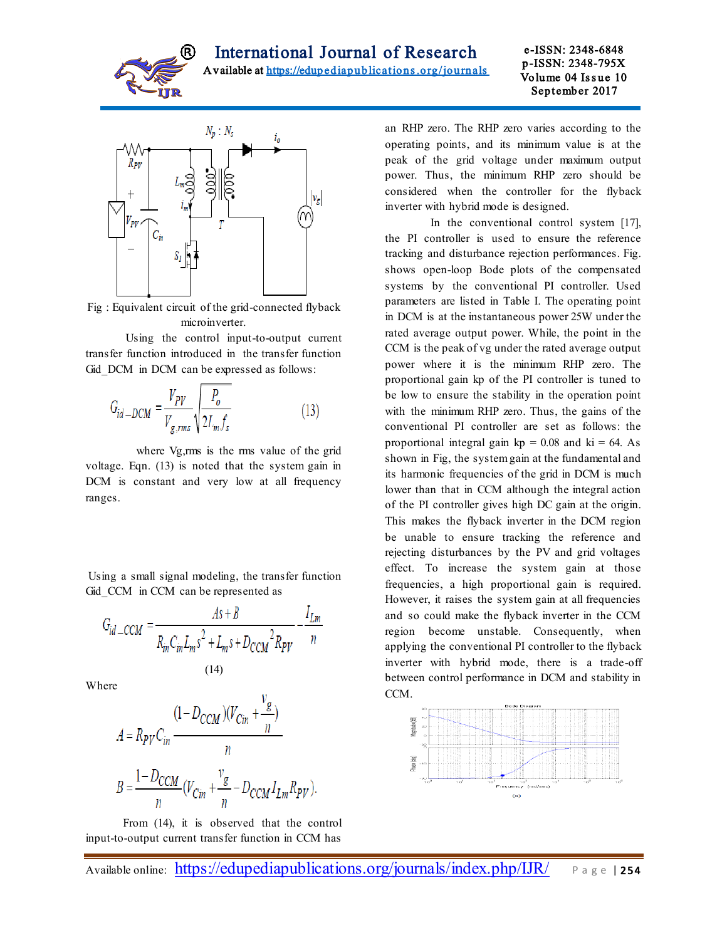



Fig : Equivalent circuit of the grid-connected flyback microinverter.

 Using the control input-to-output current transfer function introduced in the transfer function Gid DCM in DCM can be expressed as follows:

$$
G_{id\_DCM} = \frac{V_{PV}}{V_{g,rms}} \sqrt{\frac{P_o}{2L_m f_s}}
$$
(13)

 where Vg,rms is the rms value of the grid voltage. Eqn. (13) is noted that the system gain in DCM is constant and very low at all frequency ranges.

Using a small signal modeling, the transfer function Gid CCM in CCM can be represented as

$$
G_{id\_CCM} = \frac{As + B}{R_{in}C_{in}L_{m}s^{2} + L_{m}s + D_{CCM}^{2}R_{PV}} - \frac{I_{Lm}}{n}
$$
\n(14)

Where

$$
A = R_{PV}C_{in} \frac{(1 - D_{CCM})(V_{Cin} + \frac{v_g}{n})}{n}
$$

$$
B = \frac{1 - D_{CCM}}{n}(V_{Cin} + \frac{v_g}{n} - D_{CCM}I_{Lm}R_{PV}).
$$

 From (14), it is observed that the control input-to-output current transfer function in CCM has

an RHP zero. The RHP zero varies according to the operating points, and its minimum value is at the peak of the grid voltage under maximum output power. Thus, the minimum RHP zero should be considered when the controller for the flyback inverter with hybrid mode is designed.

In the conventional control system [17], the PI controller is used to ensure the reference tracking and disturbance rejection performances. Fig. shows open-loop Bode plots of the compensated systems by the conventional PI controller. Used parameters are listed in Table I. The operating point in DCM is at the instantaneous power 25W under the rated average output power. While, the point in the CCM is the peak of vg under the rated average output power where it is the minimum RHP zero. The proportional gain kp of the PI controller is tuned to be low to ensure the stability in the operation point with the minimum RHP zero. Thus, the gains of the conventional PI controller are set as follows: the proportional integral gain  $kp = 0.08$  and  $ki = 64$ . As shown in Fig, the system gain at the fundamental and its harmonic frequencies of the grid in DCM is much lower than that in CCM although the integral action of the PI controller gives high DC gain at the origin. This makes the flyback inverter in the DCM region be unable to ensure tracking the reference and rejecting disturbances by the PV and grid voltages effect. To increase the system gain at those frequencies, a high proportional gain is required. However, it raises the system gain at all frequencies and so could make the flyback inverter in the CCM region become unstable. Consequently, when applying the conventional PI controller to the flyback inverter with hybrid mode, there is a trade-off between control performance in DCM and stability in CCM.

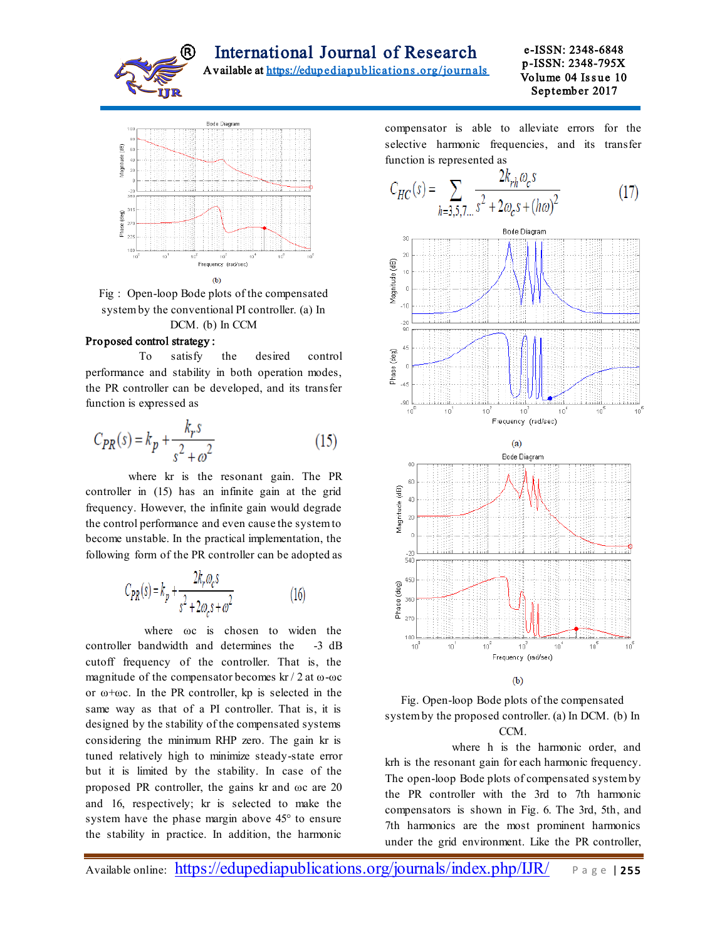



Fig : Open-loop Bode plots of the compensated system by the conventional PI controller. (a) In DCM. (b) In CCM

#### Proposed control strategy :

 To satisfy the desired control performance and stability in both operation modes, the PR controller can be developed, and its transfer function is expressed as

$$
C_{PR}(s) = k_p + \frac{k_r s}{s^2 + \omega^2}
$$
 (15)

 where kr is the resonant gain. The PR controller in (15) has an infinite gain at the grid frequency. However, the infinite gain would degrade the control performance and even cause the system to become unstable. In the practical implementation, the following form of the PR controller can be adopted as

$$
C_{PR}(s) = k_p + \frac{2k_r \omega_c s}{s^2 + 2\omega_c s + \omega^2}
$$
 (16)

 where ωc is chosen to widen the controller bandwidth and determines the -3 dB cutoff frequency of the controller. That is, the magnitude of the compensator becomes  $kr/2$  at  $\omega$ - $\omega$ c or  $\omega + \omega c$ . In the PR controller, kp is selected in the same way as that of a PI controller. That is, it is designed by the stability of the compensated systems considering the minimum RHP zero. The gain kr is tuned relatively high to minimize steady-state error but it is limited by the stability. In case of the proposed PR controller, the gains kr and ωc are 20 and 16, respectively; kr is selected to make the system have the phase margin above 45° to ensure the stability in practice. In addition, the harmonic

compensator is able to alleviate errors for the selective harmonic frequencies, and its transfer function is represented as

$$
C_{HC}(s) = \sum_{h=3,5,7,\dots} \frac{2k_{rh}\omega_c s}{s^2 + 2\omega_c s + (h\omega)^2}
$$
(17)







 where h is the harmonic order, and krh is the resonant gain for each harmonic frequency. The open-loop Bode plots of compensated system by the PR controller with the 3rd to 7th harmonic compensators is shown in Fig. 6. The 3rd, 5th, and 7th harmonics are the most prominent harmonics under the grid environment. Like the PR controller,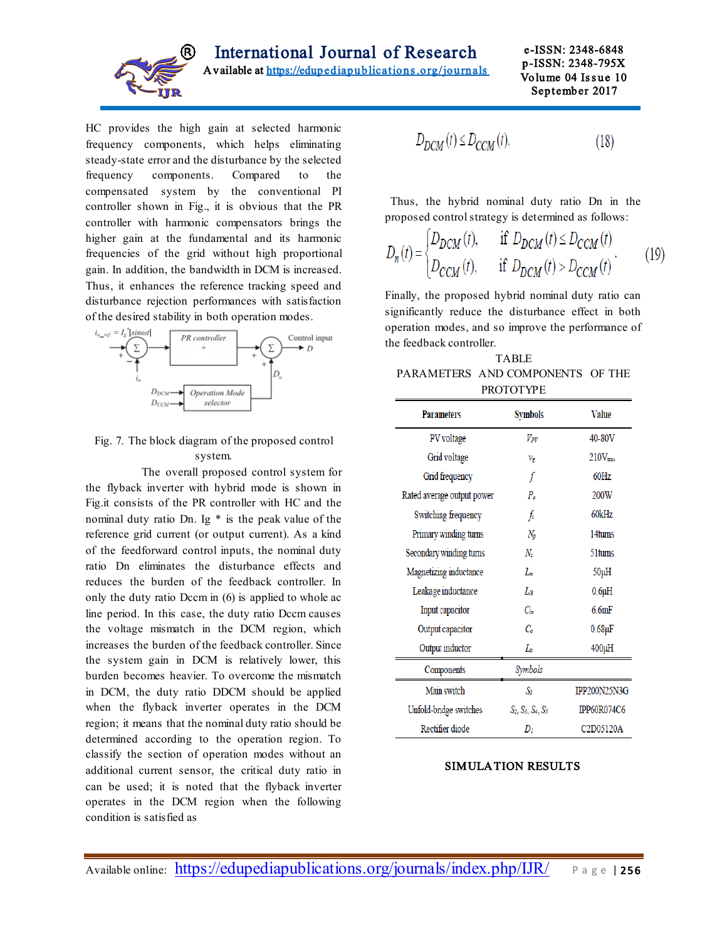

HC provides the high gain at selected harmonic frequency components, which helps eliminating steady-state error and the disturbance by the selected frequency components. Compared to the compensated system by the conventional PI controller shown in Fig., it is obvious that the PR controller with harmonic compensators brings the higher gain at the fundamental and its harmonic frequencies of the grid without high proportional gain. In addition, the bandwidth in DCM is increased. Thus, it enhances the reference tracking speed and disturbance rejection performances with satisfaction of the desired stability in both operation modes.



# Fig. 7. The block diagram of the proposed control system.

 The overall proposed control system for the flyback inverter with hybrid mode is shown in Fig.it consists of the PR controller with HC and the nominal duty ratio Dn. Ig \* is the peak value of the reference grid current (or output current). As a kind of the feedforward control inputs, the nominal duty ratio Dn eliminates the disturbance effects and reduces the burden of the feedback controller. In only the duty ratio Dccm in (6) is applied to whole ac line period. In this case, the duty ratio Dccm causes the voltage mismatch in the DCM region, which increases the burden of the feedback controller. Since the system gain in DCM is relatively lower, this burden becomes heavier. To overcome the mismatch in DCM, the duty ratio DDCM should be applied when the flyback inverter operates in the DCM region; it means that the nominal duty ratio should be determined according to the operation region. To classify the section of operation modes without an additional current sensor, the critical duty ratio in can be used; it is noted that the flyback inverter operates in the DCM region when the following condition is satisfied as

$$
D_{DCM}(t) \le D_{CCM}(t). \tag{18}
$$

 Thus, the hybrid nominal duty ratio Dn in the proposed control strategy is determined as follows:

$$
D_n(t) = \begin{cases} D_{DCM}(t), & \text{if } D_{DCM}(t) \le D_{CCM}(t) \\ D_{CCM}(t), & \text{if } D_{DCM}(t) > D_{CCM}(t) \end{cases}
$$
(19)

Finally, the proposed hybrid nominal duty ratio can significantly reduce the disturbance effect in both operation modes, and so improve the performance of the feedback controller.

TABLE PARAMETERS AND COMPONENTS OF THE PROTOTYPE

| <b>Parameters</b>          | <b>Symbols</b>       | <b>Value</b>                        |
|----------------------------|----------------------|-------------------------------------|
| PV voltage                 | $V_{PV}$             | 40-80V                              |
| Grid voltage               | $v_{\rm g}$          | 210V <sub>rms</sub>                 |
| Grid frequency             | f                    | 60Hz                                |
| Rated average output power | $P_o$                | 200W                                |
| Switching frequency        | fs                   | 60kHz                               |
| Primary winding turns      | $N_p$                | 14turns                             |
| Secondary winding turns    | N,                   | 51turns                             |
| Magnetizing inductance     | Lm                   | 50µH                                |
| Leakage inductance         | $L_{lk}$             | $0.6\mu$ H                          |
| Input capacitor            | $C_{in}$             | 6.6mF                               |
| Output capacitor           | $C_o$                | $0.68\mu F$                         |
| Output inductor            | Lo                   | $400\mu H$                          |
| Components                 | Symbols              |                                     |
| Main switch                | Sı                   | IPP200N25N3G                        |
| Unfold-bridge switches     | $S_2, S_3, S_4, S_5$ | <b>IPP60R074C6</b>                  |
| Rectifier diode            | Dı                   | C <sub>2</sub> D <sub>05120</sub> A |

#### SIMULATION RESULTS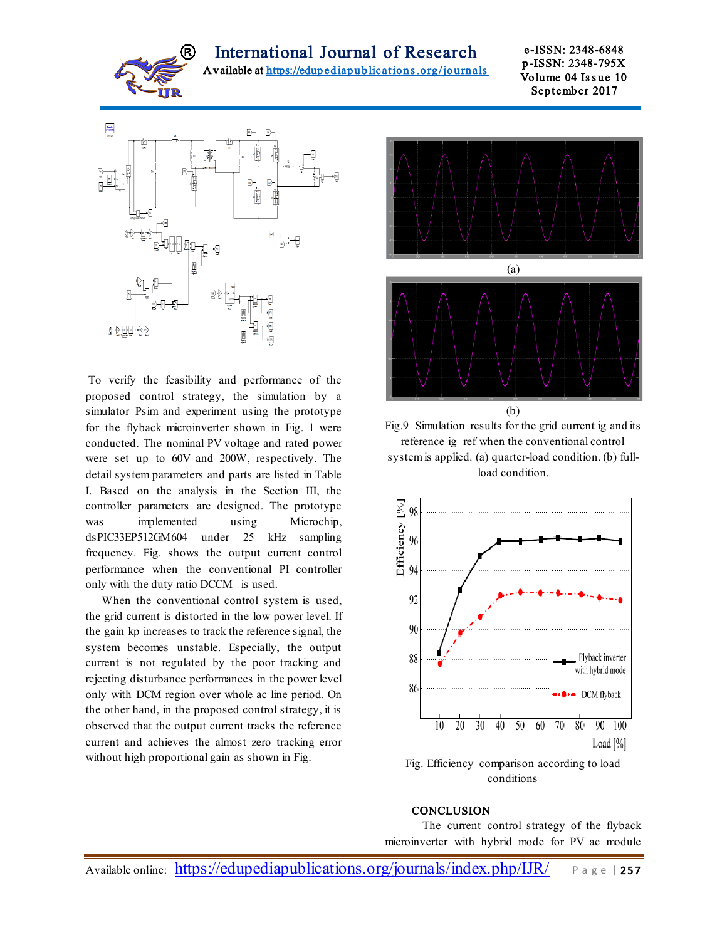

International Journal of Research

Available at https://edupediapublications.org/journals

e-ISSN: 2348-6848 p-ISSN: 2348-795X Volume 04 Issue 10 September 2017



To verify the feasibility and performance of the proposed control strategy, the simulation by a simulator Psim and experiment using the prototype for the flyback microinverter shown in Fig. 1 were conducted. The nominal PV voltage and rated power were set up to 60V and 200W, respectively. The detail system parameters and parts are listed in Table I. Based on the analysis in the Section III, the controller parameters are designed. The prototype was implemented using Microchip, dsPIC33EP512GM604 under 25 kHz sampling frequency. Fig. shows the output current control performance when the conventional PI controller only with the duty ratio DCCM is used.

 When the conventional control system is used, the grid current is distorted in the low power level. If the gain kp increases to track the reference signal, the system becomes unstable. Especially, the output current is not regulated by the poor tracking and rejecting disturbance performances in the power level only with DCM region over whole ac line period. On the other hand, in the proposed control strategy, it is observed that the output current tracks the reference current and achieves the almost zero tracking error without high proportional gain as shown in Fig.



Fig.9 Simulation results for the grid current ig and its reference ig ref when the conventional control system is applied. (a) quarter-load condition. (b) fullload condition.



conditions

#### **CONCLUSION**

 The current control strategy of the flyback microinverter with hybrid mode for PV ac module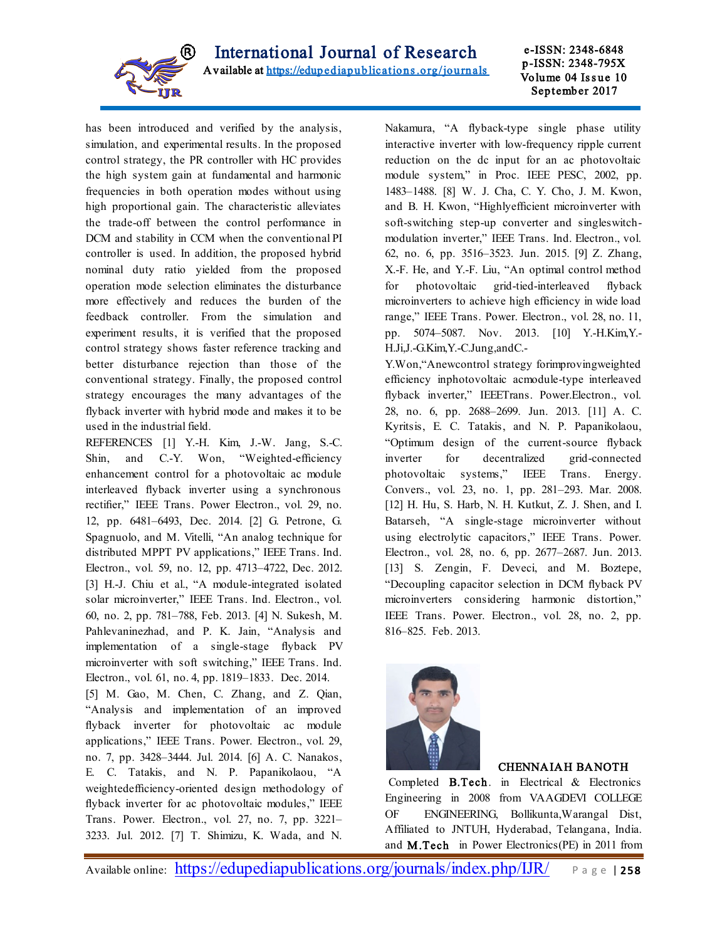

has been introduced and verified by the analysis, simulation, and experimental results. In the proposed control strategy, the PR controller with HC provides the high system gain at fundamental and harmonic frequencies in both operation modes without using high proportional gain. The characteristic alleviates the trade-off between the control performance in DCM and stability in CCM when the conventional PI controller is used. In addition, the proposed hybrid nominal duty ratio yielded from the proposed operation mode selection eliminates the disturbance more effectively and reduces the burden of the feedback controller. From the simulation and experiment results, it is verified that the proposed control strategy shows faster reference tracking and better disturbance rejection than those of the conventional strategy. Finally, the proposed control strategy encourages the many advantages of the flyback inverter with hybrid mode and makes it to be used in the industrial field.

REFERENCES [1] Y.-H. Kim, J.-W. Jang, S.-C. Shin, and C.-Y. Won, "Weighted-efficiency enhancement control for a photovoltaic ac module interleaved flyback inverter using a synchronous rectifier," IEEE Trans. Power Electron., vol. 29, no. 12, pp. 6481–6493, Dec. 2014. [2] G. Petrone, G. Spagnuolo, and M. Vitelli, "An analog technique for distributed MPPT PV applications," IEEE Trans. Ind. Electron., vol. 59, no. 12, pp. 4713–4722, Dec. 2012. [3] H.-J. Chiu et al., "A module-integrated isolated solar microinverter," IEEE Trans. Ind. Electron., vol. 60, no. 2, pp. 781–788, Feb. 2013. [4] N. Sukesh, M. Pahlevaninezhad, and P. K. Jain, "Analysis and implementation of a single-stage flyback PV microinverter with soft switching," IEEE Trans. Ind. Electron., vol. 61, no. 4, pp. 1819–1833. Dec. 2014.

[5] M. Gao, M. Chen, C. Zhang, and Z. Qian, "Analysis and implementation of an improved flyback inverter for photovoltaic ac module applications," IEEE Trans. Power. Electron., vol. 29, no. 7, pp. 3428–3444. Jul. 2014. [6] A. C. Nanakos, E. C. Tatakis, and N. P. Papanikolaou, "A weightedefficiency-oriented design methodology of flyback inverter for ac photovoltaic modules," IEEE Trans. Power. Electron., vol. 27, no. 7, pp. 3221– 3233. Jul. 2012. [7] T. Shimizu, K. Wada, and N.

Nakamura, "A flyback-type single phase utility interactive inverter with low-frequency ripple current reduction on the dc input for an ac photovoltaic module system," in Proc. IEEE PESC, 2002, pp. 1483–1488. [8] W. J. Cha, C. Y. Cho, J. M. Kwon, and B. H. Kwon, "Highlyefficient microinverter with soft-switching step-up converter and singleswitchmodulation inverter," IEEE Trans. Ind. Electron., vol. 62, no. 6, pp. 3516–3523. Jun. 2015. [9] Z. Zhang, X.-F. He, and Y.-F. Liu, "An optimal control method for photovoltaic grid-tied-interleaved flyback microinverters to achieve high efficiency in wide load range," IEEE Trans. Power. Electron., vol. 28, no. 11, pp. 5074–5087. Nov. 2013. [10] Y.-H.Kim,Y.- H.Ji,J.-G.Kim,Y.-C.Jung,andC.-

Y.Won,"Anewcontrol strategy forimprovingweighted efficiency inphotovoltaic acmodule-type interleaved flyback inverter," IEEETrans. Power.Electron., vol. 28, no. 6, pp. 2688–2699. Jun. 2013. [11] A. C. Kyritsis, E. C. Tatakis, and N. P. Papanikolaou, "Optimum design of the current-source flyback inverter for decentralized grid-connected photovoltaic systems," IEEE Trans. Energy. Convers., vol. 23, no. 1, pp. 281–293. Mar. 2008. [12] H. Hu, S. Harb, N. H. Kutkut, Z. J. Shen, and I. Batarseh, "A single-stage microinverter without using electrolytic capacitors," IEEE Trans. Power. Electron., vol. 28, no. 6, pp. 2677–2687. Jun. 2013. [13] S. Zengin, F. Deveci, and M. Boztepe, "Decoupling capacitor selection in DCM flyback PV microinverters considering harmonic distortion," IEEE Trans. Power. Electron., vol. 28, no. 2, pp. 816–825. Feb. 2013.



## CHENNAIAH BANOTH

 Completed B.Tech . in Electrical & Electronics Engineering in 2008 from VAAGDEVI COLLEGE OF ENGINEERING, Bollikunta,Warangal Dist, Affiliated to JNTUH, Hyderabad, Telangana, India. and M.Tech in Power Electronics(PE) in 2011 from